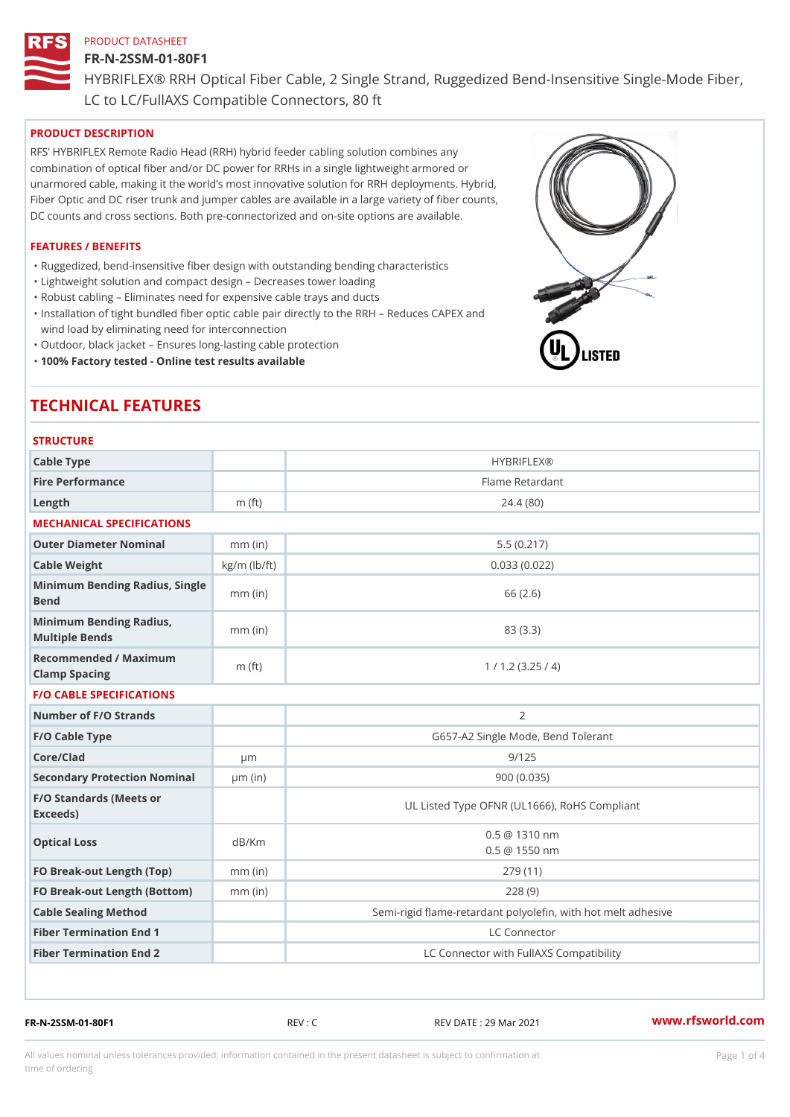### FR-N-2SSM-01-80F1

HYBRIFLEX® RRH Optical Fiber Cable, 2 Single Strand, Ruggedized Be

LC to LC/FullAXS Compatible Connectors, 80 ft

# PRODUCT DESCRIPTION

RFS HYBRIFLEX Remote Radio Head (RRH) hybrid feeder cabling solution combines any combination of optical fiber and/or DC power for RRHs in a single lightweight armored or unarmored cable, making it the world s most innovative solution for RRH deployments. Hybrid, Fiber Optic and DC riser trunk and jumper cables are available in a large variety of fiber counts, DC counts and cross sections. Both pre-connectorized and on-site options are available.

### FEATURES / BENEFITS

"Ruggedized, bend-insensitive fiber design with outstanding bending characteristics

- "Lightweight solution and compact design Decreases tower loading
- "Robust cabling Eliminates need for expensive cable trays and ducts
- "Installation of tight bundled fiber optic cable pair directly to the RRH Aeduces CAPEX and wind load by eliminating need for interconnection
- "Outdoor, black jacket Ensures long-lasting cable protection
- "100% Factory tested Online test results available

# TECHNICAL FEATURES

### **STRUCTURE**

| .                                                 |                    |                                                          |
|---------------------------------------------------|--------------------|----------------------------------------------------------|
| Cable Type                                        |                    | <b>HYBRIFLEX®</b>                                        |
| Fire Performance                                  |                    | Flame Retardant                                          |
| Length                                            | $m$ (ft)           | 24.4(80)                                                 |
| MECHANICAL SPECIFICATIONS                         |                    |                                                          |
| Outer Diameter Nominal                            | $mm$ (in)          | 5.5(0.217)                                               |
| Cable Weight                                      | $kg/m$ ( $lb/ft$ ) | 0.033(0.022)                                             |
| Minimum Bending Radius, Single<br>Bend            |                    | 66 (2.6)                                                 |
| Minimum Bending Radius, mm (in)<br>Multiple Bends |                    | 83 (3.3)                                                 |
| Recommended / Maximum<br>Clamp Spacing            | $m$ (ft)           | 1 / 1.2 (3.25 / 4)                                       |
| <b>F/O CABLE SPECIFICATIONS</b>                   |                    |                                                          |
| Number of F/O Strands                             |                    | $\overline{2}$                                           |
| F/O Cable Type                                    |                    | G657-A2 Single Mode, Bend Tolerant                       |
| Core/Clad                                         | $\mu$ m            | 9/125                                                    |
| Secondary Protection Nomimal(in)                  |                    | 900(0.035)                                               |
| F/O Standards (Meets or<br>Exceeds)               |                    | UL Listed Type OFNR (UL1666), RoHS Compliant             |
| Optical Loss                                      | dB/Km              | $0.5 \ @ \ 1310 \ nm$<br>$0.5 \t@ 1550 nm$               |
| FO Break-out Length (Top)mm (in)                  |                    | 279 (11)                                                 |
| FO Break-out Length (Bottomm) (in)                |                    | 228(9)                                                   |
| Cable Sealing Method                              |                    | Semi-rigid flame-retardant polyolefin, with hot melt adl |
| Fiber Termination End                             |                    | LC Connector                                             |
| Fiber Termination End 2                           |                    | LC Connector with FullAXS Compatibility                  |

FR-N-2SSM-01-80F1 REV : C REV DATE : 29 Mar 2021 [www.](https://www.rfsworld.com)rfsworld.com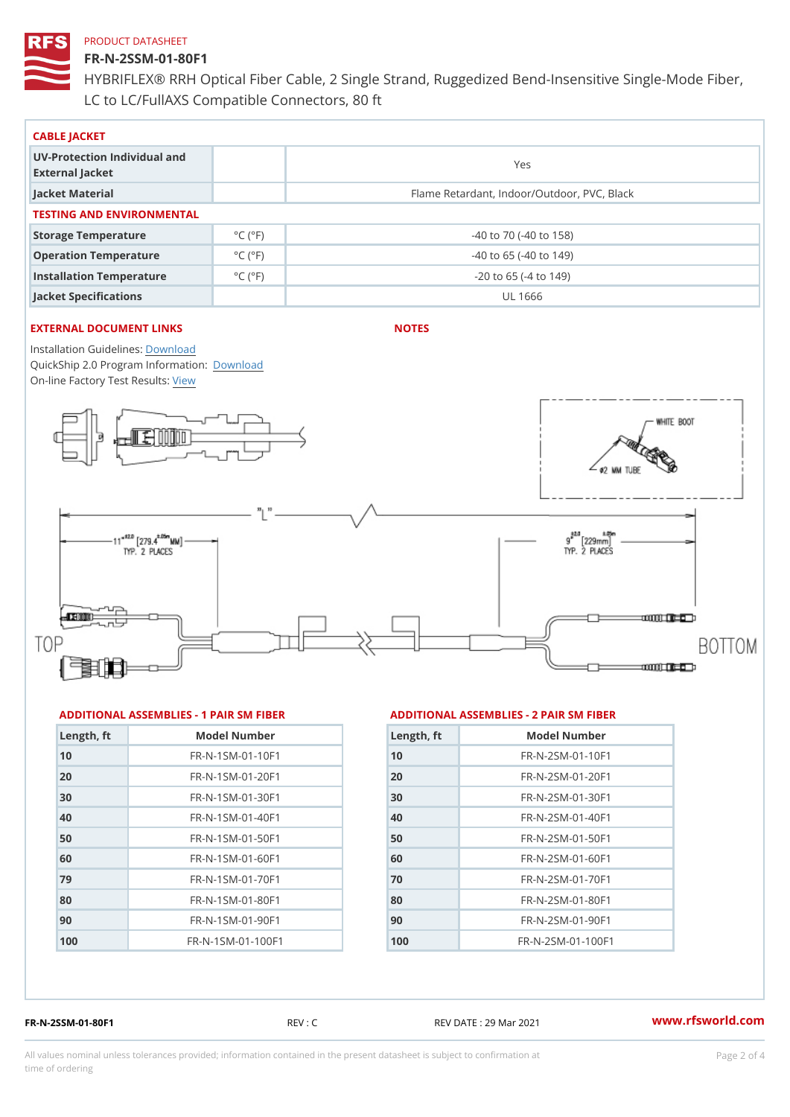## FR-N-2SSM-01-80F1

HYBRIFLEX® RRH Optical Fiber Cable, 2 Single Strand, Ruggedized Be LC to LC/FullAXS Compatible Connectors, 80 ft

| CABLE JACKET                                    |                             |                                             |  |  |  |
|-------------------------------------------------|-----------------------------|---------------------------------------------|--|--|--|
| UV-Protection Individual and<br>External Jacket |                             | Yes                                         |  |  |  |
| Jacket Material                                 |                             | Flame Retardant, Indoor/Outdoor, PVC, Black |  |  |  |
| TESTING AND ENVIRONMENTAL                       |                             |                                             |  |  |  |
| Storage Temperature                             | $^{\circ}$ C ( $^{\circ}$ F | $-40$ to $70$ ( $-40$ to $158$ )            |  |  |  |
| Operation Temperature                           | $^{\circ}$ C ( $^{\circ}$ F | $-40$ to 65 ( $-40$ to 149)                 |  |  |  |
| Installation Temperature                        | $^{\circ}$ C ( $^{\circ}$ F | $-20$ to 65 ( $-4$ to 149)                  |  |  |  |
| Jacket Specifications                           |                             | UL 1666                                     |  |  |  |

# EXTERNAL DOCUMENT LINKS

NOTES

Installation Guidelwinessad QuickShip 2.0 Program [Informa](http://www.rfsworld.com/images/hybriflex/quickship_program_2.pdf)tion: On-line Factory Te[s](https://www.rfsworld.com/pictures/userfiles/programs/AAST Latest Version.zip)teResults:

#### ADDITIONAL ASSEMBLIES - 1 PAIR SM FIBERED DITIONAL ASSEMBLIES - 2 PAIR SM FIBER

| Length, ft | Model Number                   |
|------------|--------------------------------|
| 10         | FR-N-1SM-01-10F1               |
| 20         | FR-N-1SM-01-20F1               |
| 30         | $FR - N - 1$ S M - 01 - 30 F 1 |
| 40         | FR-N-1SM-01-40F1               |
| 50         | FR-N-1SM-01-50F1               |
| 60         | $FR - N - 1$ S M - 01 - 60 F 1 |
| 79         | $FR - N - 1$ S M - 01 - 70 F 1 |
| 80         | FR-N-1SM-01-80F1               |
| 90         | FR-N-1SM-01-90F1               |
| 100        | FR-N-1SM-01-100F1              |

| Length, ft | Model Number                  |
|------------|-------------------------------|
| 10         | $FR - N - 2 SM - 01 - 10 F1$  |
| 20         | $FR - N - 2 SM - 01 - 20 F1$  |
| 30         | $FR - N - 2 S M - 01 - 30 F1$ |
| 40         | $FR - N - 2 SM - 01 - 40 F1$  |
| 50         | $FR - N - 2 SM - 01 - 50 F1$  |
| 60         | $FR - N - 2 S M - 01 - 60 F1$ |
| 70         | FR-N-2SM-01-70F1              |
| 80         | $FR - N - 2 S M - 01 - 80 F1$ |
| 90         | FR-N-2SM-01-90F1              |
| 100        | $FR - N - 2 SM - 01 - 100 F1$ |

FR-N-2SSM-01-80F1 REV : C REV DATE : 29 Mar 2021 [www.](https://www.rfsworld.com)rfsworld.com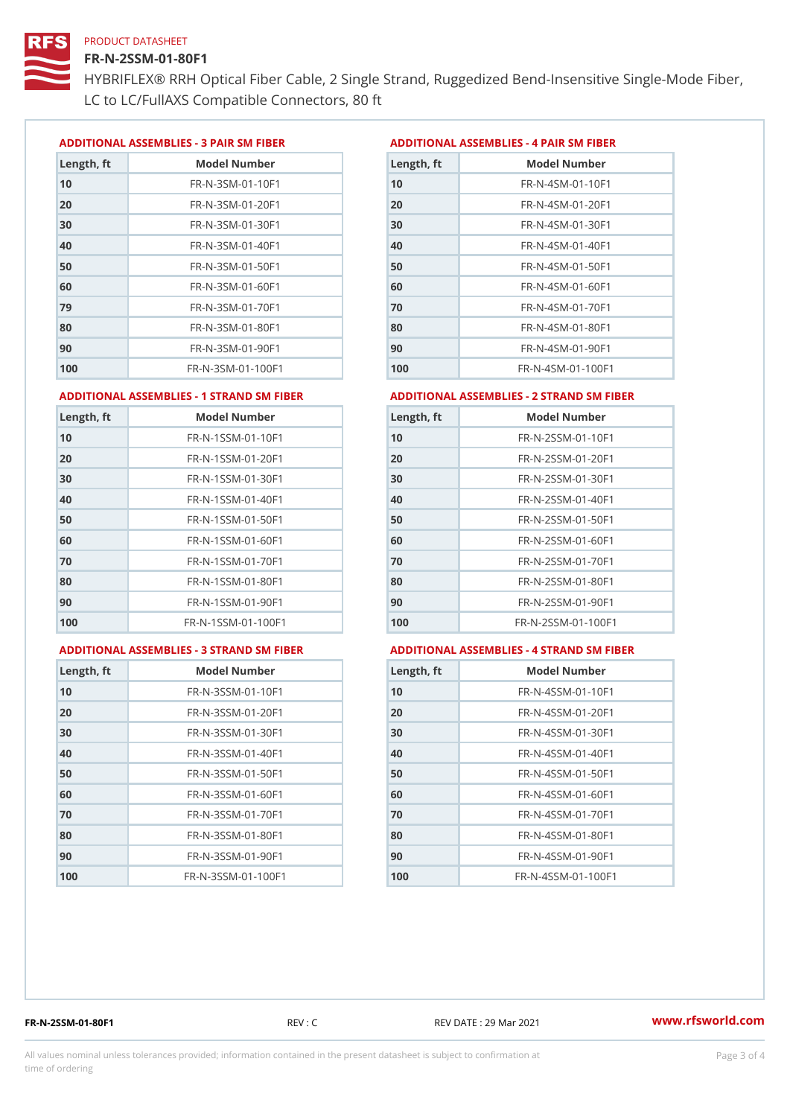### FR-N-2SSM-01-80F1

HYBRIFLEX® RRH Optical Fiber Cable, 2 Single Strand, Ruggedized Be LC to LC/FullAXS Compatible Connectors, 80 ft

ADDITIONAL ASSEMBLIES - 3 PAIR SM FIBERED DITIONAL ASSEMBLIES - 4 PAIR SM FIBER

| Length, ft | Model Number                   |
|------------|--------------------------------|
| 10         | $FR - N - 3 S M - 01 - 10 F1$  |
| 20         | FR-N-3SM-01-20F1               |
| 30         | FR-N-3SM-01-30F1               |
| 40         | $FR - N - 3 S M - 01 - 40 F1$  |
| 50         | FR-N-3SM-01-50F1               |
| 60         | $FR - N - 3 S M - 01 - 60 F1$  |
| 79         | $FR - N - 3 S M - 01 - 70 F1$  |
| 80         | $FR - N - 3 S M - 01 - 80 F1$  |
| 90         | FR-N-3SM-01-90F1               |
| 100        | $FR - N - 3 S M - 01 - 100 F1$ |

| Length, ft | Model Number                   |
|------------|--------------------------------|
| 10         | FR-N-4SM-01-10F1               |
| 20         | $FR - N - 4 SM - 01 - 20 F1$   |
| 30         | $FR - N - 4 S M - 01 - 30 F1$  |
| 40         | $FR - N - 4 SM - 01 - 40 F1$   |
| 50         | FR-N-4SM-01-50F1               |
| 60         | $FR - N - 4 SM - 01 - 60 F1$   |
| 70         | FR-N-4SM-01-70F1               |
| 80         | $FR - N - 4 S M - 01 - 80 F1$  |
| 90         | FR-N-4SM-01-90F1               |
| 100        | $FR - N - 4 S M - 01 - 100 F1$ |

#### ADDITIONAL ASSEMBLIES - 1 STRAND SM FABSDRTIONAL ASSEMBLIES - 2 STRAND SM FIBER

| Length, ft | Model Number                     | Length, ft | Model Number                |
|------------|----------------------------------|------------|-----------------------------|
| 10         | FR-N-1SSM-01-10F1                | 10         | FR-N-2SSM-01-10F1           |
| 20         | FR-N-1SSM-01-20F1                | 20         | FR-N-2SSM-01-20F1           |
| 30         | FR-N-1SSM-01-30F1                | 30         | FR-N-2SSM-01-30F1           |
| 40         | $FR - N - 1$ S S M - 01 - 40 F 1 | 40         | $FR - N - 2SSM - 01 - 40F1$ |
| 50         | $FR - N - 1$ S S M - 01 - 50 F 1 | 50         | $FR - N - 2SSM - 01 - 50F1$ |
| 60         | FR-N-1SSM-01-60F1                | 60         | $FR - N - 2SSM - 01 - 60F1$ |
| 70         | $FR - N - 1$ S S M - 01 - 70 F 1 | 70         | $FR - N - 2SSM - 01 - 70F1$ |
| 80         | FR-N-1SSM-01-80F1                | 80         | FR-N-2SSM-01-80F1           |
| 90         | FR-N-1SSM-01-90F1                | 90         | $FR - N - 2SSM - 01 - 90F1$ |
| 100        | FR-N-1SSM-01-100F1               | 100        | FR-N-2SSM-01-100F1          |
|            |                                  |            |                             |

#### ADDITIONAL ASSEMBLIES - 3 STRAND SM FABSDRTIONAL ASSEMBLIES - 4 STRAND SM FIBER

| Length, ft | Model Number                    |
|------------|---------------------------------|
| 10         | $FR - N - 3 S S M - 01 - 10 F1$ |
| 20         | FR-N-3SSM-01-20F1               |
| 30         | FR-N-3SSM-01-30F1               |
| 40         | FR-N-3SSM-01-40F1               |
| 50         | FR-N-3SSM-01-50F1               |
| 60         | $FR - N - 3 S S M - 01 - 60 F1$ |
| 70         | $FR - N - 3 S S M - 01 - 70 F1$ |
| 80         | $FR - N - 3 S S M - 01 - 80 F1$ |
| 90         | FR-N-3SSM-01-90F1               |
| 100        | FR-N-3SSM-01-100F1              |

| Length, ft | Model Number                     |
|------------|----------------------------------|
| 10         | $FR - N - 4$ S S M - 01 - 10 F 1 |
| 20         | FR-N-4SSM-01-20F1                |
| 30         | $FR - N - 4$ S S M - 01 - 30 F 1 |
| 40         | $FR - N - 4 S S M - 01 - 40 F1$  |
| 50         | $FR - N - 4$ S S M - 01 - 50 F 1 |
| 60         | FR-N-4SSM-01-60F1                |
| 70         | $FR - N - 4$ S S M - 01 - 70 F 1 |
| 80         | FR-N-4SSM-01-80F1                |
| 90         | FR-N-4SSM-01-90F1                |
| 100        | FR-N-4SSM-01-100F1               |

FR-N-2SSM-01-80F1 REV : C REV DATE : 29 Mar 2021 [www.](https://www.rfsworld.com)rfsworld.com

All values nominal unless tolerances provided; information contained in the present datasheet is subject to Pcapgeling that i time of ordering